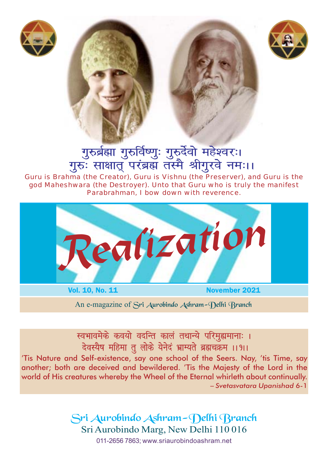



# गुरुर्ब्रह्मा गुरुर्विष्णुः गुरुर्<mark>देवो महेश्वरः</mark>। wa serven wa ing serven in the serven in the serven in the serven in the serven in the serven in the serven in<br><mark>गुरुः साक्षात् परंब्रह्म तस्मै श्रीगुरवे नमः</mark>।।

Guru is Brahma (the Creator), Guru is Vishnu (the Preserver), and Guru is the god Maheshwara (the Destroyer). Unto that Guru who is truly the manifest Parabrahman, I bow down with reverence.



An e-magazine of Sri Aurobindo Ashram-Delhi Branch

स्वभावमेके कवयो वदन्ति कालं तथान्ये परि<u>म</u>ूह्यमानाः । देवस्यैष महिमा तु लोके येनेदं भ्राम्यते ब्रह्मचक्रम ।। १।।

'Tis Nature and Self-existence, say one school of the Seers. Nay, 'tis Time, say another; both are deceived and bewildered. 'Tis the Majesty of the Lord in the world of His creatures whereby the Wheel of the Eternal whirleth about continually. – *Svetasvatara Upanishad* 6-1

> Sri Aurobindo Ashram-Delhi Branch Sri Aurobindo Marg, New Delhi 110 016

011-2656 7863; www.sriaurobindoashram.net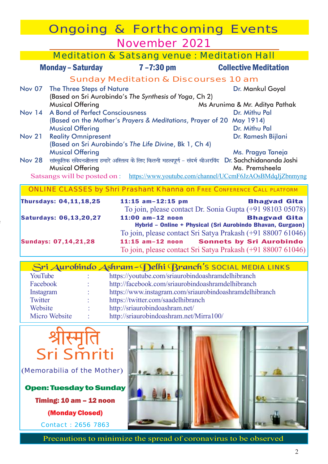|                                                                                      |                                  | <b>Ongoing &amp; Forthcoming Events</b>                                                                    |  |                                                           |  |  |  |  |
|--------------------------------------------------------------------------------------|----------------------------------|------------------------------------------------------------------------------------------------------------|--|-----------------------------------------------------------|--|--|--|--|
| November 2021                                                                        |                                  |                                                                                                            |  |                                                           |  |  |  |  |
| <b>Meditation &amp; Satsang venue: Meditation Hall</b>                               |                                  |                                                                                                            |  |                                                           |  |  |  |  |
|                                                                                      | <b>Monday - Saturday</b>         | $7 - 7:30$ pm                                                                                              |  | <b>Collective Meditation</b>                              |  |  |  |  |
|                                                                                      |                                  | <b>Sunday Meditation &amp; Discourses 10 am</b>                                                            |  |                                                           |  |  |  |  |
| <b>Nov 07</b>                                                                        | <b>The Three Steps of Nature</b> |                                                                                                            |  | Dr. Mankul Goyal                                          |  |  |  |  |
| (Based on Sri Aurobindo's The Synthesis of Yoga, Ch 2)                               |                                  |                                                                                                            |  |                                                           |  |  |  |  |
|                                                                                      | <b>Musical Offering</b>          |                                                                                                            |  | Ms Arunima & Mr. Aditya Pathak                            |  |  |  |  |
| <b>Nov 14</b>                                                                        | A Bond of Perfect Consciousness  |                                                                                                            |  | Dr. Mithu Pal                                             |  |  |  |  |
|                                                                                      |                                  | (Based on the Mother's Prayers & Meditations, Prayer of 20 May 1914)                                       |  |                                                           |  |  |  |  |
|                                                                                      | <b>Musical Offering</b>          |                                                                                                            |  | Dr. Mithu Pal                                             |  |  |  |  |
| <b>Nov 21</b>                                                                        | <b>Reality Omnipresent</b>       |                                                                                                            |  | Dr. Ramesh Bijlani                                        |  |  |  |  |
|                                                                                      |                                  | (Based on Sri Aurobindo's The Life Divine, Bk 1, Ch 4)                                                     |  |                                                           |  |  |  |  |
| <b>Nov 28</b>                                                                        | <b>Musical Offering</b>          |                                                                                                            |  | Ms. Pragya Taneja                                         |  |  |  |  |
|                                                                                      | <b>Musical Offering</b>          | सांस्कृतिक संवेदनशीलता हमारे अस्तित्व के लिए कितनी महत्वपूर्ण - संदर्भ श्रीअरविंद Dr. Sachchidananda Joshi |  | Ms. Premsheela                                            |  |  |  |  |
|                                                                                      |                                  |                                                                                                            |  |                                                           |  |  |  |  |
| Satsangs will be posted on: https://www.youtube.com/channel/UCcmF6JzAOsBMdqJjZbnmyng |                                  |                                                                                                            |  |                                                           |  |  |  |  |
| <b>ONLINE CLASSES by Shri Prashant Khanna on FREE CONFERENCE CALL PLATFORM</b>       |                                  |                                                                                                            |  |                                                           |  |  |  |  |
| <b>Thursdays: 04,11,18,25</b><br>$11:15$ am-12:15 pm<br><b>Bhagvad Gita</b>          |                                  |                                                                                                            |  |                                                           |  |  |  |  |
|                                                                                      |                                  |                                                                                                            |  | To join, please contact Dr. Sonia Gupta (+91 98103 05078) |  |  |  |  |
|                                                                                      | <b>Saturdays: 06,13,20,27</b>    | $11:00$ am-12 noon                                                                                         |  | <b>Bhagvad Gita</b>                                       |  |  |  |  |
| Hybrid - Online + Physical (Sri Aurobindo Bhavan, Gurgaon)                           |                                  |                                                                                                            |  |                                                           |  |  |  |  |
| To join, please contact Sri Satya Prakash (+91 88007 61046)                          |                                  |                                                                                                            |  |                                                           |  |  |  |  |
|                                                                                      | <b>Sundays: 07,14,21,28</b>      | 11:15 am-12 noon                                                                                           |  | <b>Sonnets by Sri Aurobindo</b>                           |  |  |  |  |

| To join, please contact Sri Satya Prakash (+91 88007 61046) |  |  |  |
|-------------------------------------------------------------|--|--|--|
|-------------------------------------------------------------|--|--|--|

| Sri Aurobindo Ashram-Delhi Branch's SOCIAL MEDIA LINKS |                             |                                                         |  |  |  |  |
|--------------------------------------------------------|-----------------------------|---------------------------------------------------------|--|--|--|--|
| YouTube                                                |                             | https://youtube.com/sriaurobindoashramdelhibranch       |  |  |  |  |
| Facebook                                               |                             | http://facebook.com/sriaurobindoashramdelhibranch       |  |  |  |  |
| Instagram                                              | ÷                           | https://www.instagram.com/sriaurobindoashramdelhibranch |  |  |  |  |
| Twitter                                                | ÷                           | https://twitter.com/saadelhibranch                      |  |  |  |  |
| Website                                                | ÷                           | http://sriaurobindoashram.net/                          |  |  |  |  |
| Micro Website                                          | $\mathcal{L}^{\mathcal{L}}$ | http://sriaurobindoashram.net/Mirra100/                 |  |  |  |  |

e



Precautions to minimize the spread of coronavirus to be observed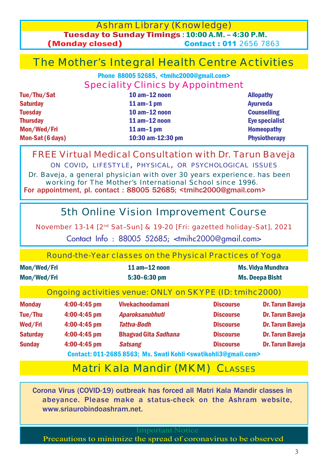Ashram Library (Knowledge) Tuesday to Sunday Timings : 10:00 A.M. – 4:30 P.M. **(Monday closed) Contact : 011** 2656 7863

### The Mother's Integral Health Centre Activities

### Phone 88005 52685, <tmihc2000@gmail.com>

Speciality Clinics by Appointment

- Tue/Thu/Sat 10 am–12 noon Allopathy
- Saturday 11 am–1 pm Ayurveda Tuesday 10 am–12 noon Counselling Thursday 11 am–12 noon Eye specialist Mon/Wed/Fri 2012 11 am–1 pm Homeopathy Mon-Sat (6 days) 10:30 am-12:30 pm Physiotherapy
- 

FREE Virtual Medical Consultation with Dr. Tarun Baveja ON COVID, LIFESTYLE, PHYSICAL, OR PSYCHOLOGICAL ISSUES

Dr. Baveja, a general physician with over 30 years experience. has been working for The Mother's International School since 1996. For appointment, pl. contact : 88005 52685; <tmihc2000@gmail.com>

### 5th Online Vision Improvement Course

November 13-14 [2nd Sat–Sun] & 19-20 [Fri: gazetted holiday–Sat], 2021

Contact Info : 88005 52685; <tmihc2000@gmail.com>

Round-the-Year classes on the Physical Practices of Yoga

Mon/Wed/Fri 2012 11 am–12 noon Ms. Vidya Mundhra Mon/Wed/Fri 5:30–6:30 pm Ms. Deepa Bisht

#### Ongoing activities venue: ONLY on SKYPE (ID: tmihc2000)

| <b>Monday</b>   | $4:00 - 4:45$ pm                                                                        | <b>Vivekachoodamani</b>     | <b>Discourse</b> | <b>Dr. Tarun Baveja</b> |  |
|-----------------|-----------------------------------------------------------------------------------------|-----------------------------|------------------|-------------------------|--|
| Tue/Thu         | $4:00 - 4:45$ pm                                                                        | <b>Aparoksanubhuti</b>      | <b>Discourse</b> | <b>Dr. Tarun Baveja</b> |  |
| Wed/Fri         | $4:00 - 4:45$ pm                                                                        | Tattva-Bodh                 | <b>Discourse</b> | <b>Dr. Tarun Baveja</b> |  |
| <b>Saturday</b> | $4:00 - 4:45$ pm                                                                        | <b>Bhagvad Gita Sadhana</b> | <b>Discourse</b> | <b>Dr. Tarun Baveja</b> |  |
| <b>Sunday</b>   | $4:00 - 4:45$ pm                                                                        | <b>Satsang</b>              | <b>Discourse</b> | <b>Dr. Tarun Baveja</b> |  |
|                 | Contact: 011-2685 8563; Ms. Swati Kohli <swatikohli3@gmail.com></swatikohli3@gmail.com> |                             |                  |                         |  |

Matri Kala Mandir (MKM) CLASSES

Corona Virus (COVID-19) outbreak has forced all Matri Kala Mandir classes in abeyance. Please make a status-check on the Ashram website, www.sriaurobindoashram.net.

Precautions to minimize the spread of coronavirus to be observed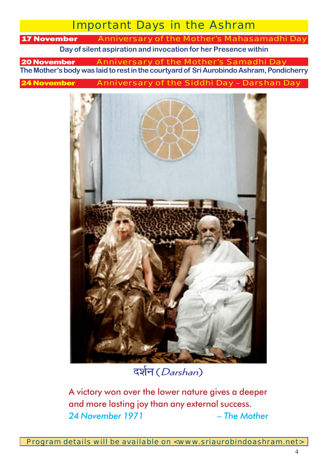## Important Days in the Ashram

17 November Anniversary of the Mother's *Mahasamadhi* Day

**Day of silent aspiration and invocation for her Presence within**

20 November Anniversary of the Mother's *Samadhi* Day

**The Mother's body was laid to rest in the courtyard of Sri Aurobindo Ashram, Pondicherry**

24 November Anniversary of the *Siddhi* Day *– Darshan* Day



दर्शन (Darshan)

A victory won over the lower nature gives a deeper and more lasting joy than any external success. *24 November 1971* – *The Mother*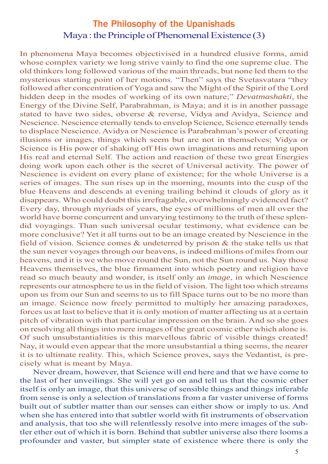### The Philosophy of the Upanishads Maya : the Principle of Phenomenal Existence (3)

In phenomena Maya becomes objectivised in a hundred elusive forms, amid whose complex variety we long strive vainly to find the one supreme clue. The old thinkers long followed various of the main threads, but none led them to the mysterious starting point of her motions. "Then" says the Svetasvatara "they followed after concentration of Yoga and saw the Might of the Spirit of the Lord hidden deep in the modes of working of its own nature;" *Devatmashakti*, the Energy of the Divine Self, Parabrahman, is Maya; and it is in another passage stated to have two sides, obverse & reverse, Vidya and Avidya, Science and Nescience. Nescience eternally tends to envelop Science, Science eternally tends to displace Nescience. Avidya or Nescience is Parabrahman's power of creating illusions or images, things which seem but are not in themselves; Vidya or Science is His power of shaking off His own imaginations and returning upon His real and eternal Self. The action and reaction of these two great Energies doing work upon each other is the secret of Universal activity. The power of Nescience is evident on every plane of existence; for the whole Universe is a series of images. The sun rises up in the morning, mounts into the cusp of the blue Heavens and descends at evening trailing behind it clouds of glory as it disappears. Who could doubt this irrefragable, overwhelmingly evidenced fact? Every day, through myriads of years, the eyes of millions of men all over the world have borne concurrent and unvarying testimony to the truth of these splendid voyagings. Than such universal ocular testimony, what evidence can be more conclusive? Yet it all turns out to be an image created by Nescience in the field of vision. Science comes & undeterred by prison & the stake tells us that the sun never voyages through our heavens, is indeed millions of miles from our heavens, and it is we who move round the Sun, not the Sun round us. Nay those Heavens themselves, the blue firmament into which poetry and religion have read so much beauty and wonder, is itself only an *image*, in which Nescience represents our atmosphere to us in the field of vision. The light too which streams upon us from our Sun and seems to us to fill Space turns out to be no more than an image. Science now freely permitted to multiply her amazing paradoxes, forces us at last to believe that it is only motion of matter affecting us at a certain pitch of vibration with that particular impression on the brain. And so she goes on resolving all things into mere images of the great cosmic ether which alone is. Of such unsubstantialities is this marvellous fabric of visible things created! Nay, it would even appear that the more unsubstantial a thing seems, the nearer it is to ultimate reality. This, which Science proves, says the Vedantist, is precisely what is meant by Maya.

Never dream, however, that Science will end here and that we have come to the last of her unveilings. She will yet go on and tell us that the cosmic ether itself is only an image, that this universe of sensible things and things inferable from sense is only a selection of translations from a far vaster universe of forms built out of subtler matter than our senses can either show or imply to us. And when she has entered into that subtler world with fit instruments of observation and analysis, that too she will relentlessly resolve into mere images of the subtler ether out of which it is born. Behind that subtler universe also there looms a profounder and vaster, but simpler state of existence where there is only the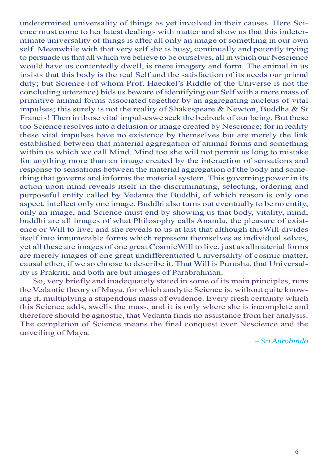undetermined universality of things as yet involved in their causes. Here Science must come to her latest dealings with matter and show us that this indeterminate universality of things is after all only an image of something in our own self. Meanwhile with that very self she is busy, continually and potently trying to persuade us that all which we believe to be ourselves, all in which our Nescience would have us contentedly dwell, is mere imagery and form. The animal in us insists that this body is the real Self and the satisfaction of its needs our primal duty; but Science (of whom Prof. Haeckel's Riddle of the Universe is not the concluding utterance) bids us beware of identifying our Self with a mere mass of primitive animal forms associated together by an aggregating nucleus of vital impulses; this surely is not the reality of Shakespeare & Newton, Buddha & St Francis! Then in those vital impulseswe seek the bedrock of our being. But these too Science resolves into a delusion or image created by Nescience; for in reality these vital impulses have no existence by themselves but are merely the link established between that material aggregation of animal forms and something within us which we call Mind. Mind too she will not permit us long to mistake for anything more than an image created by the interaction of sensations and response to sensations between the material aggregation of the body and something that governs and informs the material system. This governing power in its action upon mind reveals itself in the discriminating, selecting, ordering and purposeful entity called by Vedanta the Buddhi, of which reason is only one aspect, intellect only one image. Buddhi also turns out eventually to be no entity, only an image, and Science must end by showing us that body, vitality, mind, buddhi are all images of what Philosophy calls Ananda, the pleasure of existence or Will to live; and she reveals to us at last that although thisWill divides itself into innumerable forms which represent themselves as individual selves, yet all these are images of one great CosmicWill to live, just as allmaterial forms are merely images of one great undifferentiated Universality of cosmic matter, causal ether, if we so choose to describe it. That Will is Purusha, that Universality is Prakriti; and both are but images of Parabrahman.

So, very briefly and inadequately stated in some of its main principles, runs the Vedantic theory of Maya, for which analytic Science is, without quite knowing it, multiplying a stupendous mass of evidence. Every fresh certainty which this Science adds, swells the mass, and it is only where she is incomplete and therefore should be agnostic, that Vedanta finds no assistance from her analysis. The completion of Science means the final conquest over Nescience and the unveiling of Maya.

*– Sri Aurobindo*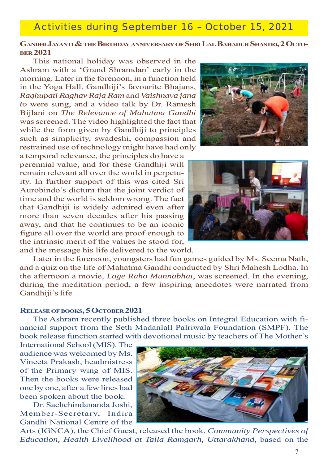## Activities during September 16 – October 15, 2021

#### GANDHI JAYANTI & THE BIRTHDAY ANNIVERSARY OF SHRI LAL BAHADUR SHASTRI, 2 OCTO-**BER 2021**

This national holiday was observed in the Ashram with a 'Grand Shramdan' early in the morning. Later in the forenoon, in a function held in the Yoga Hall, Gandhiji's favourite Bhajans, *Raghupati Raghav Raja Ram* and *Vaishnava jana to* were sung, and a video talk by Dr. Ramesh Bijlani on *The Relevance of Mahatma Gandhi* was screened. The video highlighted the fact that while the form given by Gandhiji to principles such as simplicity, swadeshi, compassion and restrained use of technology might have had only

a temporal relevance, the principles do have a perennial value, and for these Gandhiji will remain relevant all over the world in perpetuity. In further support of this was cited Sri Aurobindo's dictum that the joint verdict of time and the world is seldom wrong. The fact that Gandhiji is widely admired even after more than seven decades after his passing away, and that he continues to be an iconic figure all over the world are proof enough to the intrinsic merit of the values he stood for,





and the message his life delivered to the world.

Later in the forenoon, youngsters had fun games guided by Ms. Seema Nath, and a quiz on the life of Mahatma Gandhi conducted by Shri Mahesh Lodha. In the afternoon a movie*, Lage Raho Munnabhai*, was screened. In the evening, during the meditation period, a few inspiring anecdotes were narrated from Gandhiji's life

#### **RELEASE OFBOOKS, 5 OCTOBER 2021**

The Ashram recently published three books on Integral Education with financial support from the Seth Madanlall Palriwala Foundation (SMPF). The book release function started with devotional music by teachers of The Mother's

International School (MIS). The audience was welcomed by Ms. Vineeta Prakash, headmistress of the Primary wing of MIS. Then the books were released one by one, after a few lines had been spoken about the book.

Dr. Sachchindananda Joshi, Member-Secretary, Indira Gandhi National Centre of the



Arts (IGNCA), the Chief Guest, released the book, *Community Perspectives of Education, Health Livelihood at Talla Ramgarh, Uttarakhand*, based on the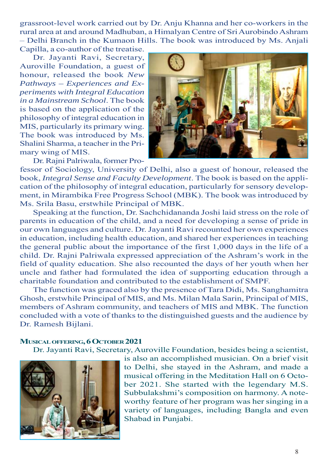grassroot-level work carried out by Dr. Anju Khanna and her co-workers in the rural area at and around Madhuban, a Himalyan Centre of Sri Aurobindo Ashram – Delhi Branch in the Kumaon Hills. The book was introduced by Ms. Anjali Capilla, a co-author of the treatise.

Dr. Jayanti Ravi, Secretary, Auroville Foundation, a guest of honour, released the book *New Pathways – Experiences and Experiments with Integral Education in a Mainstream School*. The book is based on the application of the philosophy of integral education in MIS, particularly its primary wing. The book was introduced by Ms. Shalini Sharma, a teacher in the Primary wing of MIS.

Dr. Rajni Palriwala, former Pro-



fessor of Sociology, University of Delhi, also a guest of honour, released the book, *Integral Sense and Faculty Development*. The book is based on the application of the philosophy of integral education, particularly for sensory development, in Mirambika Free Progress School (MBK). The book was introduced by Ms. Srila Basu, erstwhile Principal of MBK.

Speaking at the function, Dr. Sachchidananda Joshi laid stress on the role of parents in education of the child, and a need for developing a sense of pride in our own languages and culture. Dr. Jayanti Ravi recounted her own experiences in education, including health education, and shared her experiences in teaching the general public about the importance of the first 1,000 days in the life of a child. Dr. Rajni Palriwala expressed appreciation of the Ashram's work in the field of quality education. She also recounted the days of her youth when her uncle and father had formulated the idea of supporting education through a charitable foundation and contributed to the establishment of SMPF.

The function was graced also by the presence of Tara Didi, Ms. Sanghamitra Ghosh, erstwhile Principal of MIS, and Ms. Milan Mala Sarin, Principal of MIS, members of Ashram community, and teachers of MIS and MBK. The function concluded with a vote of thanks to the distinguished guests and the audience by Dr. Ramesh Bijlani.

#### **MUSICALOFFERING, 6 OCTOBER 2021**

Dr. Jayanti Ravi, Secretary, Auroville Foundation, besides being a scientist,



is also an accomplished musician. On a brief visit to Delhi, she stayed in the Ashram, and made a musical offering in the Meditation Hall on 6 October 2021. She started with the legendary M.S. Subbulakshmi's composition on harmony. A noteworthy feature of her program was her singing in a variety of languages, including Bangla and even Shabad in Punjabi.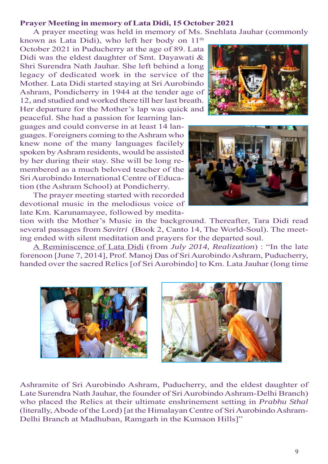#### **Prayer Meeting in memory of Lata Didi, 15 October 2021**

A prayer meeting was held in memory of Ms. Snehlata Jauhar (commonly

known as Lata Didi), who left her body on 11<sup>th</sup> October 2021 in Puducherry at the age of 89. Lata Didi was the eldest daughter of Smt. Dayawati & Shri Surendra Nath Jauhar. She left behind a long legacy of dedicated work in the service of the Mother. Lata Didi started staying at Sri Aurobindo Ashram, Pondicherry in 1944 at the tender age of 12, and studied and worked there till her last breath. Her departure for the Mother's lap was quick and

peaceful. She had a passion for learning languages and could converse in at least 14 languages. Foreigners coming to the Ashram who knew none of the many languages facilely spoken by Ashram residents, would be assisted by her during their stay. She will be long remembered as a much beloved teacher of the Sri Aurobindo International Centre of Education (the Ashram School) at Pondicherry.

The prayer meeting started with recorded devotional music in the melodious voice of late Km. Karunamayee, followed by medita-





tion with the Mother's Music in the background. Thereafter, Tara Didi read several passages from *Savitri* (Book 2, Canto 14, The World-Soul). The meeting ended with silent meditation and prayers for the departed soul.

A Reminiscence of Lata Didi (from *July 2014, Realization*) : "In the late forenoon [June 7, 2014], Prof. Manoj Das of Sri Aurobindo Ashram, Puducherry, handed over the sacred Relics [of Sri Aurobindo] to Km. Lata Jauhar (long time





Ashramite of Sri Aurobindo Ashram, Puducherry, and the eldest daughter of Late Surendra Nath Jauhar, the founder of Sri Aurobindo Ashram-Delhi Branch) who placed the Relics at their ultimate enshrinement setting in *Prabhu Sthal* (literally, Abode of the Lord) [at the Himalayan Centre of Sri Aurobindo Ashram-Delhi Branch at Madhuban, Ramgarh in the Kumaon Hills]"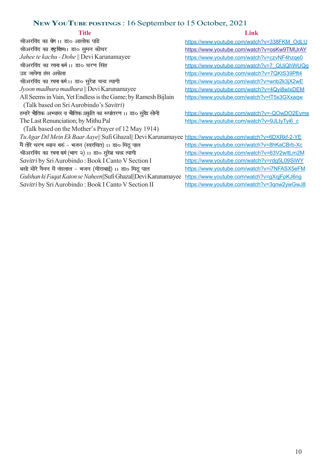#### **NEW YOUTUBE POSTINGS** : 16 September to 15 October, 2021

#### Title

श्रीअरविंद का योग। डा० आलोक पांडे श्रीअरविंद का राष्ट्रकिंता। डा**ं** सुमन कोचर *Jahee te kachu - Dohe* || Devi Karunamayee श्रीअरविंद का रचना कर्म।। डा० चरण सिंह उड जायेगा हंस अकेला श्रीअरविंद का रचना कर्म ।। डा० सुरेश चन्द्र त्यागी *Jyoon madhura madhura* || Devi Karunamayee All Seems in Vain, Yet Endless is the Game; by Ramesh Bijlain (Talk based on Sri Aurobindo's *Savitri*) हमारे भैतिक अभ्यास व भैतिक प्रकृति का रूपांतरण ।। डा० सुरेंद्र सोनी The Last Renunciation; by Mithu Pal (Talk based on the Mother's Prayer of 12 May 1914) *TuAgar Dil Mein Ek Baar Aaye*|| Sufi Ghazal|| Devi Karunamayee https://www.youtube.com/watch?v=6DXRkf-2-YE  $\ddot{\tilde{\mathbf{H}}}$  तोरे चरण ध्यान धरुं – भजन (स्वरचित) ।। डा० मिठू पाल श्रीअरविंद का रचना कर्म (भाग २) ।। डा**०** सुरेश चन्द्र त्यागी *Savitri* by Sri Aurobindo : Book I Canto V Section I बसो मोरे नैनन में नंदलाल - भजन (मीराबाई) ।। डा**०** मिठू पाल *Gulshan ki Faqat Katon se Naheen*||Sufi Ghazal||Devi Karunamayee https://www.youtube.com/watch?v=gXqjFpKJ6ng *Savitri* by Sri Aurobindo : Book I Canto V Section II

#### Link

https://www.youtube.com/watch?v=338FKM\_OdLU https://www.youtube.com/watch?v=osKw9TMUrAY https://www.youtube.com/watch?v=czvNF4hzqe0 https://www.youtube.com/watch?v=7\_QUjQhWUQg https://www.youtube.com/watch?v=7QKtS39Pft4 https://www.youtube.com/watch?v=wnb2k3jX2wE https://www.youtube.com/watch?v=4Qyi8wIxDEM https://www.youtube.com/watch?v=lT5s3GXxaqw

https://www.youtube.com/watch?v=-QOwDO2Eyms https://www.youtube.com/watch?v=9JLtyTyi6\_c

https://www.youtube.com/watch?v=8hKaCBrb-Xc https://www.youtube.com/watch?v=63V2wItLm2M https://www.youtube.com/watch?v=rdg5L09SiWY https://www.youtube.com/watch?v=i7NFASX5eFM https://www.youtube.com/watch?v=3qnw2ywGwJ8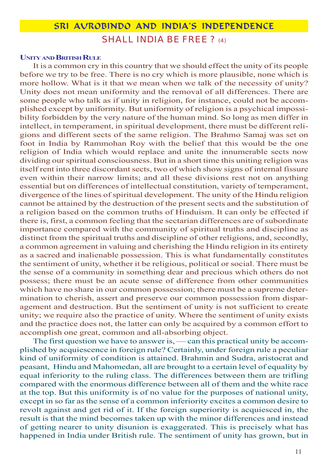## SRI AUROBINDO AND INDIA'S INDEPENDENCE SHALL INDIA BE FREE ? (4)

#### **UNITYAND BRITISH RULE**

It is a common cry in this country that we should effect the unity of its people before we try to be free. There is no cry which is more plausible, none which is more hollow. What is it that we mean when we talk of the necessity of unity? Unity does not mean uniformity and the removal of all differences. There are some people who talk as if unity in religion, for instance, could not be accomplished except by uniformity. But uniformity of religion is a psychical impossibility forbidden by the very nature of the human mind. So long as men differ in intellect, in temperament, in spiritual development, there must be different religions and different sects of the same religion. The Brahmo Samaj was set on foot in India by Rammohan Roy with the belief that this would be the one religion of India which would replace and unite the innumerable sects now dividing our spiritual consciousness. But in a short time this uniting religion was itself rent into three discordant sects, two of which show signs of internal fissure even within their narrow limits; and all these divisions rest not on anything essential but on differences of intellectual constitution, variety of temperament, divergence of the lines of spiritual development. The unity of the Hindu religion cannot be attained by the destruction of the present sects and the substitution of a religion based on the common truths of Hinduism. It can only be effected if there is, first, a common feeling that the sectarian differences are of subordinate importance compared with the community of spiritual truths and discipline as distinct from the spiritual truths and discipline of other religions, and, secondly, a common agreement in valuing and cherishing the Hindu religion in its entirety as a sacred and inalienable possession. This is what fundamentally constitutes the sentiment of unity, whether it be religious, political or social. There must be the sense of a community in something dear and precious which others do not possess; there must be an acute sense of difference from other communities which have no share in our common possession; there must be a supreme determination to cherish, assert and preserve our common possession from disparagement and destruction. But the sentiment of unity is not sufficient to create unity; we require also the practice of unity. Where the sentiment of unity exists and the practice does not, the latter can only be acquired by a common effort to accomplish one great, common and all-absorbing object.

The first question we have to answer is, — can this practical unity be accomplished by acquiescence in foreign rule? Certainly, under foreign rule a peculiar kind of uniformity of condition is attained. Brahmin and Sudra, aristocrat and peasant, Hindu and Mahomedan, all are brought to a certain level of equality by equal inferiority to the ruling class. The differences between them are trifling compared with the enormous difference between all of them and the white race at the top. But this uniformity is of no value for the purposes of national unity, except in so far as the sense of a common inferiority excites a common desire to revolt against and get rid of it. If the foreign superiority is acquiesced in, the result is that the mind becomes taken up with the minor differences and instead of getting nearer to unity disunion is exaggerated. This is precisely what has happened in India under British rule. The sentiment of unity has grown, but in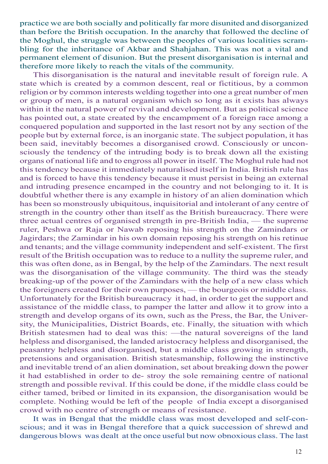practice we are both socially and politically far more disunited and disorganized than before the British occupation. In the anarchy that followed the decline of the Moghul, the struggle was between the peoples of various localities scrambling for the inheritance of Akbar and Shahjahan. This was not a vital and permanent element of disunion. But the present disorganisation is internal and therefore more likely to reach the vitals of the community.

This disorganisation is the natural and inevitable result of foreign rule. A state which is created by a common descent, real or fictitious, by a common religion or by common interests welding together into one a great number of men or group of men, is a natural organism which so long as it exists has always within it the natural power of revival and development. But as political science has pointed out, a state created by the encampment of a foreign race among a conquered population and supported in the last resort not by any section of the people but by external force, is an inorganic state. The subject population, it has been said, inevitably becomes a disorganised crowd. Consciously or unconsciously the tendency of the intruding body is to break down all the existing organs of national life and to engross all power in itself. The Moghul rule had not this tendency because it immediately naturalised itself in India. British rule has and is forced to have this tendency because it must persist in being an external and intruding presence encamped in the country and not belonging to it. It is doubtful whether there is any example in history of an alien domination which has been so monstrously ubiquitous, inquisitorial and intolerant of any centre of strength in the country other than itself as the British bureaucracy. There were three actual centres of organised strength in pre-British India, — the supreme ruler, Peshwa or Raja or Nawab reposing his strength on the Zamindars or Jagirdars; the Zamindar in his own domain reposing his strength on his retinue and tenants; and the village community independent and self-existent. The first result of the British occupation was to reduce to a nullity the supreme ruler, and this was often done, as in Bengal, by the help of the Zamindars. The next result was the disorganisation of the village community. The third was the steady breaking-up of the power of the Zamindars with the help of a new class which the foreigners created for their own purposes, — the bourgeois or middle class. Unfortunately for the British bureaucracy it had, in order to get the support and assistance of the middle class, to pamper the latter and allow it to grow into a strength and develop organs of its own, such as the Press, the Bar, the University, the Municipalities, District Boards, etc. Finally, the situation with which British statesmen had to deal was this: —the natural sovereigns of the land helpless and disorganised, the landed aristocracy helpless and disorganised, the peasantry helpless and disorganised, but a middle class growing in strength, pretensions and organisation. British statesmanship, following the instinctive and inevitable trend of an alien domination, set about breaking down the power it had established in order to de- stroy the sole remaining centre of national strength and possible revival. If this could be done, if the middle class could be either tamed, bribed or limited in its expansion, the disorganisation would be complete. Nothing would be left of the people of India except a disorganised crowd with no centre of strength or means of resistance.

It was in Bengal that the middle class was most developed and self-conscious; and it was in Bengal therefore that a quick succession of shrewd and dangerous blows was dealt at the once useful but now obnoxious class. The last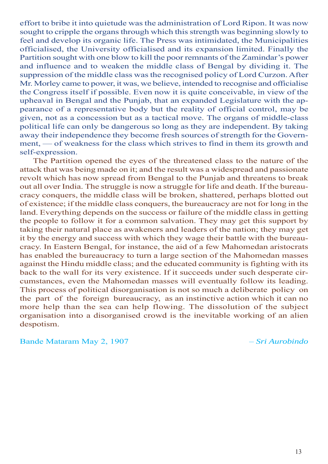effort to bribe it into quietude was the administration of Lord Ripon. It was now sought to cripple the organs through which this strength was beginning slowly to feel and develop its organic life. The Press was intimidated, the Municipalities officialised, the University officialised and its expansion limited. Finally the Partition sought with one blow to kill the poor remnants of the Zamindar's power and influence and to weaken the middle class of Bengal by dividing it. The suppression of the middle class was the recognised policy of Lord Curzon. After Mr. Morley came to power, it was, we believe, intended to recognise and officialise the Congress itself if possible. Even now it is quite conceivable, in view of the upheaval in Bengal and the Punjab, that an expanded Legislature with the appearance of a representative body but the reality of official control, may be given, not as a concession but as a tactical move. The organs of middle-class political life can only be dangerous so long as they are independent. By taking away their independence they become fresh sources of strength for the Government, — of weakness for the class which strives to find in them its growth and self-expression.

The Partition opened the eyes of the threatened class to the nature of the attack that was being made on it; and the result was a widespread and passionate revolt which has now spread from Bengal to the Punjab and threatens to break out all over India. The struggle is now a struggle for life and death. If the bureaucracy conquers, the middle class will be broken, shattered, perhaps blotted out of existence; if the middle class conquers, the bureaucracy are not for long in the land. Everything depends on the success or failure of the middle class in getting the people to follow it for a common salvation. They may get this support by taking their natural place as awakeners and leaders of the nation; they may get it by the energy and success with which they wage their battle with the bureaucracy. In Eastern Bengal, for instance, the aid of a few Mahomedan aristocrats has enabled the bureaucracy to turn a large section of the Mahomedan masses against the Hindu middle class; and the educated community is fighting with its back to the wall for its very existence. If it succeeds under such desperate circumstances, even the Mahomedan masses will eventually follow its leading. This process of political disorganisation is not so much a deliberate policy on the part of the foreign bureaucracy, as an instinctive action which it can no more help than the sea can help flowing. The dissolution of the subject organisation into a disorganised crowd is the inevitable working of an alien despotism.

Bande Mataram May 2, 1907 – *Sri Aurobindo*